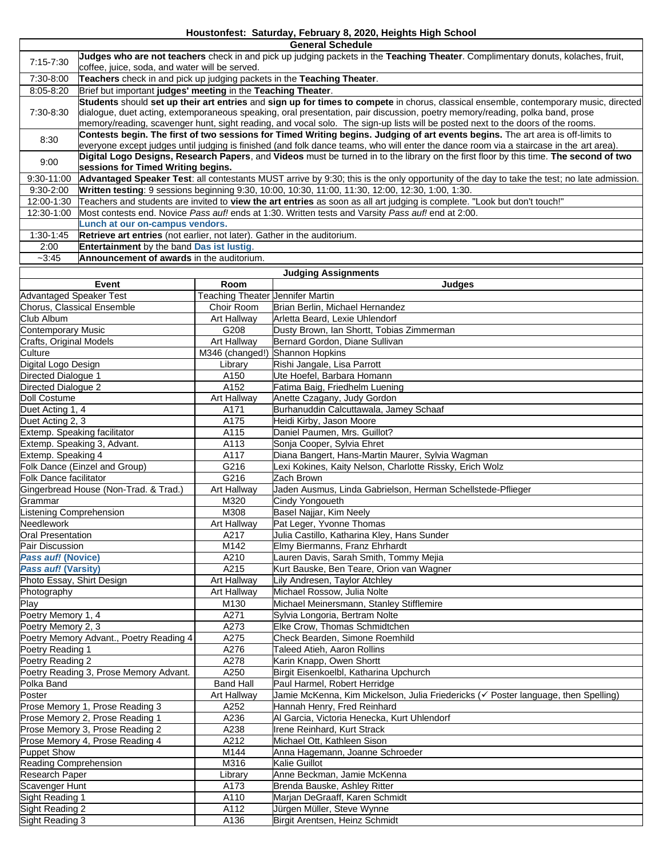**General Schedule**

| 7:15-7:30                                                          | Judges who are not teachers check in and pick up judging packets in the Teaching Theater. Complimentary donuts, kolaches, fruit,                                            |                                  |                                                                                                              |  |  |  |  |  |  |  |
|--------------------------------------------------------------------|-----------------------------------------------------------------------------------------------------------------------------------------------------------------------------|----------------------------------|--------------------------------------------------------------------------------------------------------------|--|--|--|--|--|--|--|
| 7:30-8:00                                                          | coffee, juice, soda, and water will be served.<br>Teachers check in and pick up judging packets in the Teaching Theater.                                                    |                                  |                                                                                                              |  |  |  |  |  |  |  |
| 8:05-8:20                                                          | Brief but important judges' meeting in the Teaching Theater.                                                                                                                |                                  |                                                                                                              |  |  |  |  |  |  |  |
|                                                                    | Students should set up their art entries and sign up for times to compete in chorus, classical ensemble, contemporary music, directed                                       |                                  |                                                                                                              |  |  |  |  |  |  |  |
| 7:30-8:30                                                          | dialogue, duet acting, extemporaneous speaking, oral presentation, pair discussion, poetry memory/reading, polka band, prose                                                |                                  |                                                                                                              |  |  |  |  |  |  |  |
|                                                                    | memory/reading, scavenger hunt, sight reading, and vocal solo. The sign-up lists will be posted next to the doors of the rooms.                                             |                                  |                                                                                                              |  |  |  |  |  |  |  |
| 8:30                                                               | Contests begin. The first of two sessions for Timed Writing begins. Judging of art events begins. The art area is off-limits to                                             |                                  |                                                                                                              |  |  |  |  |  |  |  |
|                                                                    | everyone except judges until judging is finished (and folk dance teams, who will enter the dance room via a staircase in the art area).                                     |                                  |                                                                                                              |  |  |  |  |  |  |  |
| 9:00                                                               | Digital Logo Designs, Research Papers, and Videos must be turned in to the library on the first floor by this time. The second of two<br>sessions for Timed Writing begins. |                                  |                                                                                                              |  |  |  |  |  |  |  |
| 9:30-11:00                                                         | Advantaged Speaker Test: all contestants MUST arrive by 9:30; this is the only opportunity of the day to take the test; no late admission.                                  |                                  |                                                                                                              |  |  |  |  |  |  |  |
| 9:30-2:00                                                          | Written testing: 9 sessions beginning 9:30, 10:00, 10:30, 11:00, 11:30, 12:00, 12:30, 1:00, 1:30.                                                                           |                                  |                                                                                                              |  |  |  |  |  |  |  |
| $12:00 - 1:30$                                                     | Teachers and students are invited to view the art entries as soon as all art judging is complete. "Look but don't touch!"                                                   |                                  |                                                                                                              |  |  |  |  |  |  |  |
| 12:30-1:00                                                         | Most contests end. Novice Pass auf! ends at 1:30. Written tests and Varsity Pass auf! end at 2:00.                                                                          |                                  |                                                                                                              |  |  |  |  |  |  |  |
|                                                                    | Lunch at our on-campus vendors.                                                                                                                                             |                                  |                                                                                                              |  |  |  |  |  |  |  |
| 1:30-1:45                                                          | Retrieve art entries (not earlier, not later). Gather in the auditorium.                                                                                                    |                                  |                                                                                                              |  |  |  |  |  |  |  |
| 2:00                                                               | Entertainment by the band Das ist lustig.                                                                                                                                   |                                  |                                                                                                              |  |  |  |  |  |  |  |
| $-3:45$                                                            | Announcement of awards in the auditorium.                                                                                                                                   |                                  |                                                                                                              |  |  |  |  |  |  |  |
| <b>Judging Assignments</b>                                         |                                                                                                                                                                             |                                  |                                                                                                              |  |  |  |  |  |  |  |
|                                                                    | Event                                                                                                                                                                       | Room                             | Judges                                                                                                       |  |  |  |  |  |  |  |
| <b>Advantaged Speaker Test</b>                                     |                                                                                                                                                                             | Teaching Theater Jennifer Martin |                                                                                                              |  |  |  |  |  |  |  |
| Club Album                                                         | Chorus, Classical Ensemble                                                                                                                                                  | Choir Room                       | Brian Berlin, Michael Hernandez<br>Arletta Beard, Lexie Uhlendorf                                            |  |  |  |  |  |  |  |
| <b>Contemporary Music</b>                                          |                                                                                                                                                                             | Art Hallway<br>G208              | Dusty Brown, Ian Shortt, Tobias Zimmerman                                                                    |  |  |  |  |  |  |  |
|                                                                    |                                                                                                                                                                             | Art Hallway                      | Bernard Gordon, Diane Sullivan                                                                               |  |  |  |  |  |  |  |
| Crafts, Original Models<br>Culture                                 |                                                                                                                                                                             | M346 (changed!) Shannon Hopkins  |                                                                                                              |  |  |  |  |  |  |  |
| Digital Logo Design                                                |                                                                                                                                                                             | Library                          | Rishi Jangale, Lisa Parrott                                                                                  |  |  |  |  |  |  |  |
| Directed Dialogue 1                                                |                                                                                                                                                                             | A150                             | Ute Hoefel. Barbara Homann                                                                                   |  |  |  |  |  |  |  |
| Directed Dialogue 2                                                |                                                                                                                                                                             | A152                             | Fatima Baig, Friedhelm Luening                                                                               |  |  |  |  |  |  |  |
| Doll Costume                                                       |                                                                                                                                                                             | Art Hallway                      | Anette Czagany, Judy Gordon                                                                                  |  |  |  |  |  |  |  |
| Duet Acting 1, 4                                                   |                                                                                                                                                                             | A171                             | Burhanuddin Calcuttawala, Jamey Schaaf                                                                       |  |  |  |  |  |  |  |
| Duet Acting 2, 3                                                   |                                                                                                                                                                             | A175                             | Heidi Kirby, Jason Moore                                                                                     |  |  |  |  |  |  |  |
| Extemp. Speaking facilitator                                       |                                                                                                                                                                             | A115                             | Daniel Paumen, Mrs. Guillot?                                                                                 |  |  |  |  |  |  |  |
| Extemp. Speaking 3, Advant.                                        |                                                                                                                                                                             | A113                             | Sonja Cooper, Sylvia Ehret                                                                                   |  |  |  |  |  |  |  |
| Extemp. Speaking 4                                                 |                                                                                                                                                                             | A117<br>G216                     | Diana Bangert, Hans-Martin Maurer, Sylvia Wagman<br>Lexi Kokines, Kaity Nelson, Charlotte Rissky, Erich Wolz |  |  |  |  |  |  |  |
| Folk Dance (Einzel and Group)<br><b>Folk Dance facilitator</b>     |                                                                                                                                                                             | G216                             | Zach Brown                                                                                                   |  |  |  |  |  |  |  |
| Gingerbread House (Non-Trad. & Trad.)                              |                                                                                                                                                                             | Art Hallway                      | Jaden Ausmus, Linda Gabrielson, Herman Schellstede-Pflieger                                                  |  |  |  |  |  |  |  |
| Grammar                                                            |                                                                                                                                                                             | M320                             | Cindy Yongoueth                                                                                              |  |  |  |  |  |  |  |
| <b>Listening Comprehension</b>                                     |                                                                                                                                                                             | M308                             | Basel Najjar, Kim Neely                                                                                      |  |  |  |  |  |  |  |
| Needlework                                                         |                                                                                                                                                                             | Art Hallway                      | Pat Leger, Yvonne Thomas                                                                                     |  |  |  |  |  |  |  |
| <b>Oral Presentation</b>                                           |                                                                                                                                                                             | A217                             | Julia Castillo, Katharina Kley, Hans Sunder                                                                  |  |  |  |  |  |  |  |
| Pair Discussion                                                    |                                                                                                                                                                             | M <sub>142</sub>                 | Elmy Biermanns, Franz Ehrhardt                                                                               |  |  |  |  |  |  |  |
| Pass auf! (Novice)                                                 |                                                                                                                                                                             | A210                             | Lauren Davis, Sarah Smith, Tommy Mejia                                                                       |  |  |  |  |  |  |  |
| Pass auf! (Varsity)                                                |                                                                                                                                                                             | A215                             | Kurt Bauske, Ben Teare, Orion van Wagner                                                                     |  |  |  |  |  |  |  |
| Photo Essay, Shirt Design                                          |                                                                                                                                                                             | Art Hallway                      | Lily Andresen, Taylor Atchley                                                                                |  |  |  |  |  |  |  |
| Photography<br>Play                                                |                                                                                                                                                                             | Art Hallway<br>M130              | Michael Rossow, Julia Nolte<br>Michael Meinersmann, Stanley Stifflemire                                      |  |  |  |  |  |  |  |
| Poetry Memory 1, 4                                                 |                                                                                                                                                                             | A271                             | Sylvia Longoria, Bertram Nolte                                                                               |  |  |  |  |  |  |  |
| Poetry Memory 2, 3                                                 |                                                                                                                                                                             | A273                             | Elke Crow, Thomas Schmidtchen                                                                                |  |  |  |  |  |  |  |
| Poetry Memory Advant., Poetry Reading 4                            |                                                                                                                                                                             | A275                             | Check Bearden, Simone Roemhild                                                                               |  |  |  |  |  |  |  |
| Poetry Reading 1                                                   |                                                                                                                                                                             | A276                             | Taleed Atieh, Aaron Rollins                                                                                  |  |  |  |  |  |  |  |
| Poetry Reading 2                                                   |                                                                                                                                                                             | A278                             | Karin Knapp, Owen Shortt                                                                                     |  |  |  |  |  |  |  |
| Poetry Reading 3, Prose Memory Advant.                             |                                                                                                                                                                             | A250                             | Birgit Eisenkoelbl, Katharina Upchurch                                                                       |  |  |  |  |  |  |  |
| Polka Band                                                         |                                                                                                                                                                             | <b>Band Hall</b>                 | Paul Harmel, Robert Herridge                                                                                 |  |  |  |  |  |  |  |
| Poster                                                             |                                                                                                                                                                             | Art Hallway                      | Jamie McKenna, Kim Mickelson, Julia Friedericks (√ Poster language, then Spelling)                           |  |  |  |  |  |  |  |
| Prose Memory 1, Prose Reading 3                                    |                                                                                                                                                                             | A252                             | Hannah Henry, Fred Reinhard                                                                                  |  |  |  |  |  |  |  |
| Prose Memory 2, Prose Reading 1                                    |                                                                                                                                                                             | A236                             | Al Garcia, Victoria Henecka, Kurt Uhlendorf                                                                  |  |  |  |  |  |  |  |
| Prose Memory 3, Prose Reading 2<br>Prose Memory 4, Prose Reading 4 |                                                                                                                                                                             | A238<br>A212                     | Irene Reinhard, Kurt Strack<br>Michael Ott, Kathleen Sison                                                   |  |  |  |  |  |  |  |
| <b>Puppet Show</b>                                                 |                                                                                                                                                                             | M144                             | Anna Hagemann, Joanne Schroeder                                                                              |  |  |  |  |  |  |  |
| Reading Comprehension                                              |                                                                                                                                                                             | M316                             | Kalie Guillot                                                                                                |  |  |  |  |  |  |  |
| Research Paper                                                     |                                                                                                                                                                             | Library                          | Anne Beckman, Jamie McKenna                                                                                  |  |  |  |  |  |  |  |
| Scavenger Hunt                                                     |                                                                                                                                                                             | A173                             | Brenda Bauske, Ashley Ritter                                                                                 |  |  |  |  |  |  |  |
| Sight Reading 1                                                    |                                                                                                                                                                             | A110                             | Marjan DeGraaff, Karen Schmidt                                                                               |  |  |  |  |  |  |  |
| Sight Reading 2                                                    |                                                                                                                                                                             | A112                             | Jürgen Müller, Steve Wynne                                                                                   |  |  |  |  |  |  |  |
| Sight Reading 3                                                    |                                                                                                                                                                             | A136                             | Birgit Arentsen, Heinz Schmidt                                                                               |  |  |  |  |  |  |  |